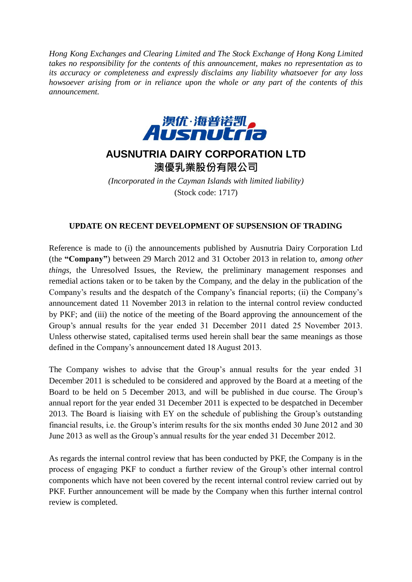*Hong Kong Exchanges and Clearing Limited and The Stock Exchange of Hong Kong Limited takes no responsibility for the contents of this announcement, makes no representation as to its accuracy or completeness and expressly disclaims any liability whatsoever for any loss howsoever arising from or in reliance upon the whole or any part of the contents of this announcement.*



## **AUSNUTRIA DAIRY CORPORATION LTD**

澳優乳業股份有限公司

*(Incorporated in the Cayman Islands with limited liability)* (Stock code: 1717)

## **UPDATE ON RECENT DEVELOPMENT OF SUPSENSION OF TRADING**

Reference is made to (i) the announcements published by Ausnutria Dairy Corporation Ltd (the **"Company"**) between 29 March 2012 and 31 October 2013 in relation to, *among other things,* the Unresolved Issues, the Review, the preliminary management responses and remedial actions taken or to be taken by the Company, and the delay in the publication of the Company's results and the despatch of the Company's financial reports; (ii) the Company's announcement dated 11 November 2013 in relation to the internal control review conducted by PKF; and (iii) the notice of the meeting of the Board approving the announcement of the Group's annual results for the year ended 31 December 2011 dated 25 November 2013. Unless otherwise stated, capitalised terms used herein shall bear the same meanings as those defined in the Company's announcement dated 18 August 2013.

The Company wishes to advise that the Group's annual results for the year ended 31 December 2011 is scheduled to be considered and approved by the Board at a meeting of the Board to be held on 5 December 2013, and will be published in due course. The Group's annual report for the year ended 31 December 2011 is expected to be despatched in December 2013. The Board is liaising with EY on the schedule of publishing the Group's outstanding financial results, i.e. the Group's interim results for the six months ended 30 June 2012 and 30 June 2013 as well as the Group's annual results for the year ended 31 December 2012.

As regards the internal control review that has been conducted by PKF, the Company is in the process of engaging PKF to conduct a further review of the Group's other internal control components which have not been covered by the recent internal control review carried out by PKF. Further announcement will be made by the Company when this further internal control review is completed.